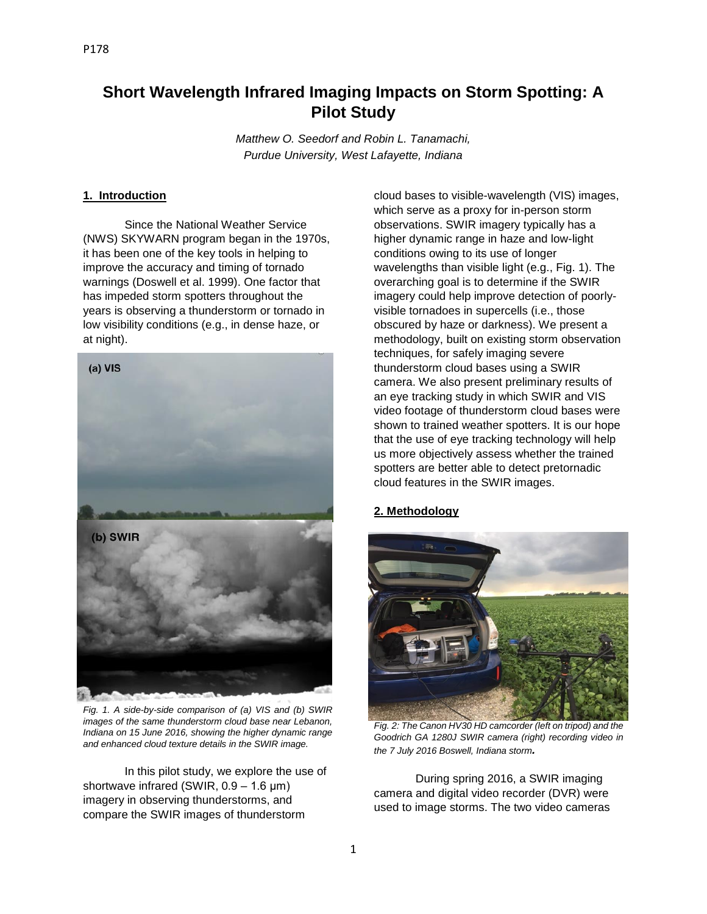# **Short Wavelength Infrared Imaging Impacts on Storm Spotting: A Pilot Study**

*Matthew O. Seedorf and Robin L. Tanamachi, Purdue University, West Lafayette, Indiana*

## **1. Introduction**

Since the National Weather Service (NWS) SKYWARN program began in the 1970s, it has been one of the key tools in helping to improve the accuracy and timing of tornado warnings (Doswell et al. 1999). One factor that has impeded storm spotters throughout the years is observing a thunderstorm or tornado in low visibility conditions (e.g., in dense haze, or at night).



*Fig. 1. A side-by-side comparison of (a) VIS and (b) SWIR images of the same thunderstorm cloud base near Lebanon, Indiana on 15 June 2016, showing the higher dynamic range and enhanced cloud texture details in the SWIR image.*

In this pilot study, we explore the use of shortwave infrared (SWIR, 0.9 – 1.6 μm) imagery in observing thunderstorms, and compare the SWIR images of thunderstorm

cloud bases to visible-wavelength (VIS) images, which serve as a proxy for in-person storm observations. SWIR imagery typically has a higher dynamic range in haze and low-light conditions owing to its use of longer wavelengths than visible light (e.g., Fig. 1). The overarching goal is to determine if the SWIR imagery could help improve detection of poorlyvisible tornadoes in supercells (i.e., those obscured by haze or darkness). We present a methodology, built on existing storm observation techniques, for safely imaging severe thunderstorm cloud bases using a SWIR camera. We also present preliminary results of an eye tracking study in which SWIR and VIS video footage of thunderstorm cloud bases were shown to trained weather spotters. It is our hope that the use of eye tracking technology will help us more objectively assess whether the trained spotters are better able to detect pretornadic cloud features in the SWIR images.

# **2. Methodology**



*Fig. 2: The Canon HV30 HD camcorder (left on tripod) and the Goodrich GA 1280J SWIR camera (right) recording video in the 7 July 2016 Boswell, Indiana storm.*

During spring 2016, a SWIR imaging camera and digital video recorder (DVR) were used to image storms. The two video cameras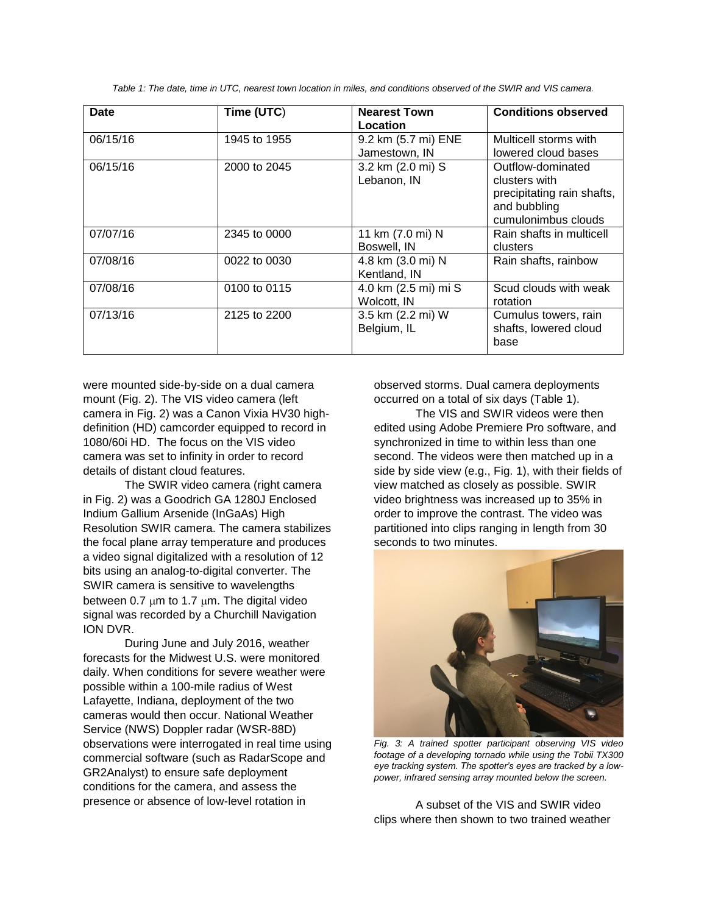*Table 1: The date, time in UTC, nearest town location in miles, and conditions observed of the SWIR and VIS camera.*

| Date     | Time (UTC)   | <b>Nearest Town</b><br>Location      | <b>Conditions observed</b>                                                                              |
|----------|--------------|--------------------------------------|---------------------------------------------------------------------------------------------------------|
| 06/15/16 | 1945 to 1955 | 9.2 km (5.7 mi) ENE<br>Jamestown, IN | Multicell storms with<br>lowered cloud bases                                                            |
| 06/15/16 | 2000 to 2045 | 3.2 km (2.0 mi) S<br>Lebanon, IN     | Outflow-dominated<br>clusters with<br>precipitating rain shafts,<br>and bubbling<br>cumulonimbus clouds |
| 07/07/16 | 2345 to 0000 | 11 km (7.0 mi) N<br>Boswell, IN      | Rain shafts in multicell<br>clusters                                                                    |
| 07/08/16 | 0022 to 0030 | 4.8 km (3.0 mi) N<br>Kentland, IN    | Rain shafts, rainbow                                                                                    |
| 07/08/16 | 0100 to 0115 | 4.0 km (2.5 mi) mi S<br>Wolcott, IN  | Scud clouds with weak<br>rotation                                                                       |
| 07/13/16 | 2125 to 2200 | 3.5 km (2.2 mi) W<br>Belgium, IL     | Cumulus towers, rain<br>shafts, lowered cloud<br>base                                                   |

were mounted side-by-side on a dual camera mount (Fig. 2). The VIS video camera (left camera in Fig. 2) was a Canon Vixia HV30 highdefinition (HD) camcorder equipped to record in 1080/60i HD. The focus on the VIS video camera was set to infinity in order to record details of distant cloud features.

The SWIR video camera (right camera in Fig. 2) was a Goodrich GA 1280J Enclosed Indium Gallium Arsenide (InGaAs) High Resolution SWIR camera. The camera stabilizes the focal plane array temperature and produces a video signal digitalized with a resolution of 12 bits using an analog-to-digital converter. The SWIR camera is sensitive to wavelengths between 0.7  $\mu$ m to 1.7  $\mu$ m. The digital video signal was recorded by a Churchill Navigation ION DVR.

During June and July 2016, weather forecasts for the Midwest U.S. were monitored daily. When conditions for severe weather were possible within a 100-mile radius of West Lafayette, Indiana, deployment of the two cameras would then occur. National Weather Service (NWS) Doppler radar (WSR-88D) observations were interrogated in real time using commercial software (such as RadarScope and GR2Analyst) to ensure safe deployment conditions for the camera, and assess the presence or absence of low-level rotation in

observed storms. Dual camera deployments occurred on a total of six days (Table 1).

The VIS and SWIR videos were then edited using Adobe Premiere Pro software, and synchronized in time to within less than one second. The videos were then matched up in a side by side view (e.g., Fig. 1), with their fields of view matched as closely as possible. SWIR video brightness was increased up to 35% in order to improve the contrast. The video was partitioned into clips ranging in length from 30 seconds to two minutes.

![](_page_1_Picture_7.jpeg)

*Fig. 3: A trained spotter participant observing VIS video footage of a developing tornado while using the Tobii TX300 eye tracking system. The spotter's eyes are tracked by a lowpower, infrared sensing array mounted below the screen.*

A subset of the VIS and SWIR video clips where then shown to two trained weather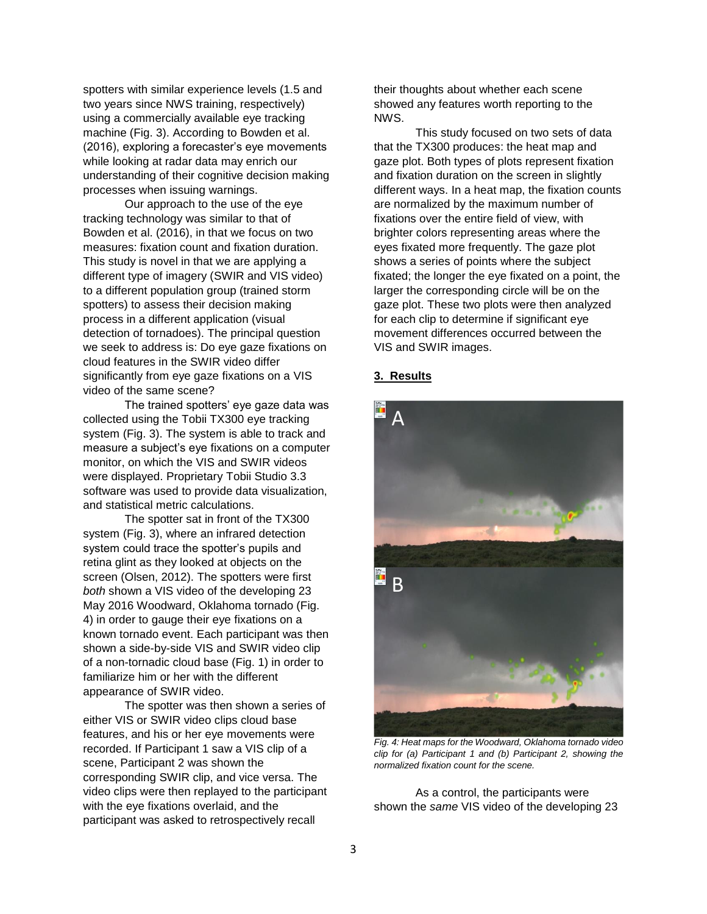spotters with similar experience levels (1.5 and two years since NWS training, respectively) using a commercially available eye tracking machine (Fig. 3). According to Bowden et al. (2016), exploring a forecaster's eye movements while looking at radar data may enrich our understanding of their cognitive decision making processes when issuing warnings.

Our approach to the use of the eye tracking technology was similar to that of Bowden et al. (2016), in that we focus on two measures: fixation count and fixation duration. This study is novel in that we are applying a different type of imagery (SWIR and VIS video) to a different population group (trained storm spotters) to assess their decision making process in a different application (visual detection of tornadoes). The principal question we seek to address is: Do eye gaze fixations on cloud features in the SWIR video differ significantly from eye gaze fixations on a VIS video of the same scene?

The trained spotters' eye gaze data was collected using the Tobii TX300 eye tracking system (Fig. 3). The system is able to track and measure a subject's eye fixations on a computer monitor, on which the VIS and SWIR videos were displayed. Proprietary Tobii Studio 3.3 software was used to provide data visualization, and statistical metric calculations.

The spotter sat in front of the TX300 system (Fig. 3), where an infrared detection system could trace the spotter's pupils and retina glint as they looked at objects on the screen (Olsen, 2012). The spotters were first *both* shown a VIS video of the developing 23 May 2016 Woodward, Oklahoma tornado (Fig. 4) in order to gauge their eye fixations on a known tornado event. Each participant was then shown a side-by-side VIS and SWIR video clip of a non-tornadic cloud base (Fig. 1) in order to familiarize him or her with the different appearance of SWIR video.

The spotter was then shown a series of either VIS or SWIR video clips cloud base features, and his or her eye movements were recorded. If Participant 1 saw a VIS clip of a scene, Participant 2 was shown the corresponding SWIR clip, and vice versa. The video clips were then replayed to the participant with the eye fixations overlaid, and the participant was asked to retrospectively recall

their thoughts about whether each scene showed any features worth reporting to the NWS.

This study focused on two sets of data that the TX300 produces: the heat map and gaze plot. Both types of plots represent fixation and fixation duration on the screen in slightly different ways. In a heat map, the fixation counts are normalized by the maximum number of fixations over the entire field of view, with brighter colors representing areas where the eyes fixated more frequently. The gaze plot shows a series of points where the subject fixated; the longer the eye fixated on a point, the larger the corresponding circle will be on the gaze plot. These two plots were then analyzed for each clip to determine if significant eye movement differences occurred between the VIS and SWIR images.

#### **3. Results**

![](_page_2_Picture_8.jpeg)

*Fig. 4: Heat maps for the Woodward, Oklahoma tornado video clip for (a) Participant 1 and (b) Participant 2, showing the normalized fixation count for the scene.*

As a control, the participants were shown the *same* VIS video of the developing 23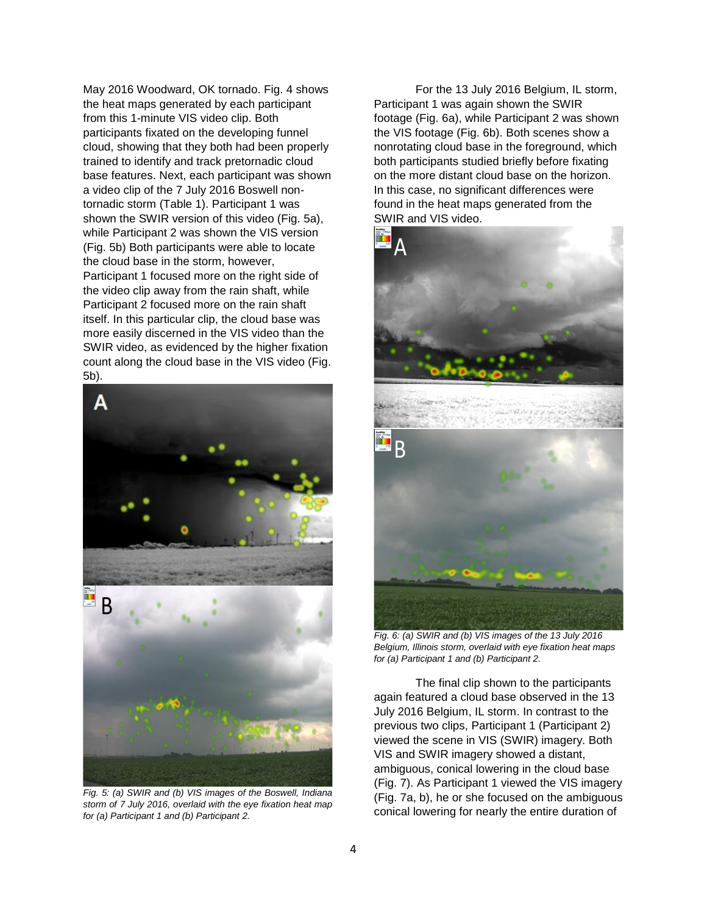May 2016 Woodward, OK tornado. Fig. 4 shows the heat maps generated by each participant from this 1-minute VIS video clip. Both participants fixated on the developing funnel cloud, showing that they both had been properly trained to identify and track pretornadic cloud base features. Next, each participant was shown a video clip of the 7 July 2016 Boswell nontornadic storm (Table 1). Participant 1 was shown the SWIR version of this video (Fig. 5a), while Participant 2 was shown the VIS version (Fig. 5b) Both participants were able to locate the cloud base in the storm, however, Participant 1 focused more on the right side of the video clip away from the rain shaft, while Participant 2 focused more on the rain shaft itself. In this particular clip, the cloud base was more easily discerned in the VIS video than the SWIR video, as evidenced by the higher fixation count along the cloud base in the VIS video (Fig. 5b).

![](_page_3_Figure_1.jpeg)

*Fig. 5: (a) SWIR and (b) VIS images of the Boswell, Indiana storm of 7 July 2016, overlaid with the eye fixation heat map for (a) Participant 1 and (b) Participant 2.*

For the 13 July 2016 Belgium, IL storm, Participant 1 was again shown the SWIR footage (Fig. 6a), while Participant 2 was shown the VIS footage (Fig. 6b). Both scenes show a nonrotating cloud base in the foreground, which both participants studied briefly before fixating on the more distant cloud base on the horizon. In this case, no significant differences were found in the heat maps generated from the SWIR and VIS video.

![](_page_3_Picture_4.jpeg)

*Fig. 6: (a) SWIR and (b) VIS images of the 13 July 2016 Belgium, Illinois storm, overlaid with eye fixation heat maps for (a) Participant 1 and (b) Participant 2.*

The final clip shown to the participants again featured a cloud base observed in the 13 July 2016 Belgium, IL storm. In contrast to the previous two clips, Participant 1 (Participant 2) viewed the scene in VIS (SWIR) imagery. Both VIS and SWIR imagery showed a distant, ambiguous, conical lowering in the cloud base (Fig. 7). As Participant 1 viewed the VIS imagery (Fig. 7a, b), he or she focused on the ambiguous conical lowering for nearly the entire duration of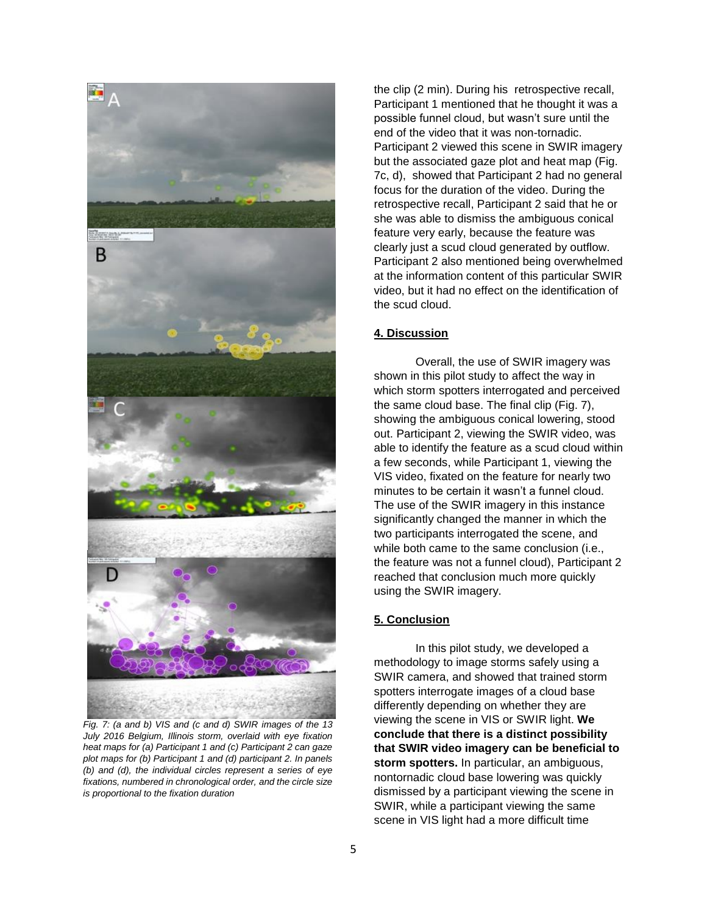![](_page_4_Picture_0.jpeg)

*Fig. 7: (a and b) VIS and (c and d) SWIR images of the 13 July 2016 Belgium, Illinois storm, overlaid with eye fixation heat maps for (a) Participant 1 and (c) Participant 2 can gaze plot maps for (b) Participant 1 and (d) participant 2. In panels (b) and (d), the individual circles represent a series of eye fixations, numbered in chronological order, and the circle size is proportional to the fixation duration*

the clip (2 min). During his retrospective recall, Participant 1 mentioned that he thought it was a possible funnel cloud, but wasn't sure until the end of the video that it was non-tornadic. Participant 2 viewed this scene in SWIR imagery but the associated gaze plot and heat map (Fig. 7c, d), showed that Participant 2 had no general focus for the duration of the video. During the retrospective recall, Participant 2 said that he or she was able to dismiss the ambiguous conical feature very early, because the feature was clearly just a scud cloud generated by outflow. Participant 2 also mentioned being overwhelmed at the information content of this particular SWIR video, but it had no effect on the identification of the scud cloud.

#### **4. Discussion**

Overall, the use of SWIR imagery was shown in this pilot study to affect the way in which storm spotters interrogated and perceived the same cloud base. The final clip (Fig. 7), showing the ambiguous conical lowering, stood out. Participant 2, viewing the SWIR video, was able to identify the feature as a scud cloud within a few seconds, while Participant 1, viewing the VIS video, fixated on the feature for nearly two minutes to be certain it wasn't a funnel cloud. The use of the SWIR imagery in this instance significantly changed the manner in which the two participants interrogated the scene, and while both came to the same conclusion (i.e., the feature was not a funnel cloud), Participant 2 reached that conclusion much more quickly using the SWIR imagery.

## **5. Conclusion**

In this pilot study, we developed a methodology to image storms safely using a SWIR camera, and showed that trained storm spotters interrogate images of a cloud base differently depending on whether they are viewing the scene in VIS or SWIR light. **We conclude that there is a distinct possibility that SWIR video imagery can be beneficial to storm spotters.** In particular, an ambiguous, nontornadic cloud base lowering was quickly dismissed by a participant viewing the scene in SWIR, while a participant viewing the same scene in VIS light had a more difficult time